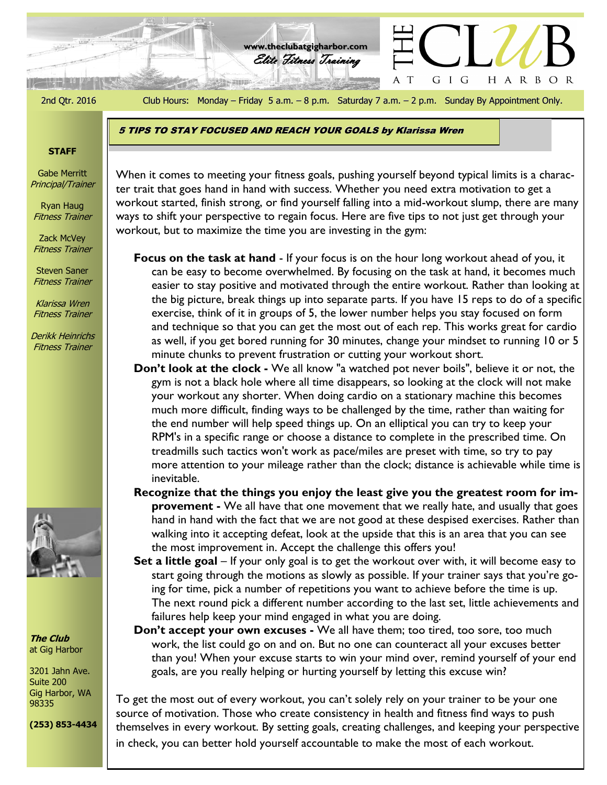الوقة كالمنتزلين

2nd Qtr. 2016 Club Hours: Monday – Friday 5 a.m. – 8 p.m. Saturday 7 a.m. – 2 p.m. Sunday By Appointment Only.

 $\mathbf T$ 

GIG

HARBOR

Elite Fitness Training **www.theclubatgigharbor.com**

5 TIPS TO STAY FOCUSED AND REACH YOUR GOALS by Klarissa Wren

## **STAFF**

Gabe Merritt Principal/Trainer

Ryan Haug Fitness Trainer

Zack McVey Fitness Trainer

Steven Saner Fitness Trainer

Klarissa Wren Fitness Trainer

Derikk Heinrichs Fitness Trainer



**The Club** at Gig Harbor

3201 Jahn Ave. Suite 200 Gig Harbor, WA 98335

**(253) 853-4434**

ter trait that goes hand in hand with success. Whether you need extra motivation to get a When it comes to meeting your fitness goals, pushing yourself beyond typical limits is a characworkout started, finish strong, or find yourself falling into a mid-workout slump, there are many ways to shift your perspective to regain focus. Here are five tips to not just get through your workout, but to maximize the time you are investing in the gym:

**Focus on the task at hand** - If your focus is on the hour long workout ahead of you, it can be easy to become overwhelmed. By focusing on the task at hand, it becomes much easier to stay positive and motivated through the entire workout. Rather than looking at the big picture, break things up into separate parts. If you have 15 reps to do of a specific exercise, think of it in groups of 5, the lower number helps you stay focused on form and technique so that you can get the most out of each rep. This works great for cardio as well, if you get bored running for 30 minutes, change your mindset to running 10 or 5 minute chunks to prevent frustration or cutting your workout short.

- **Don't look at the clock -** We all know "a watched pot never boils", believe it or not, the gym is not a black hole where all time disappears, so looking at the clock will not make your workout any shorter. When doing cardio on a stationary machine this becomes much more difficult, finding ways to be challenged by the time, rather than waiting for the end number will help speed things up. On an elliptical you can try to keep your RPM's in a specific range or choose a distance to complete in the prescribed time. On treadmills such tactics won't work as pace/miles are preset with time, so try to pay more attention to your mileage rather than the clock; distance is achievable while time is inevitable.
- **Recognize that the things you enjoy the least give you the greatest room for improvement -** We all have that one movement that we really hate, and usually that goes hand in hand with the fact that we are not good at these despised exercises. Rather than walking into it accepting defeat, look at the upside that this is an area that you can see the most improvement in. Accept the challenge this offers you!
- **Set a little goal** If your only goal is to get the workout over with, it will become easy to start going through the motions as slowly as possible. If your trainer says that you're going for time, pick a number of repetitions you want to achieve before the time is up. The next round pick a different number according to the last set, little achievements and failures help keep your mind engaged in what you are doing.

**Don't accept your own excuses -** We all have them; too tired, too sore, too much work, the list could go on and on. But no one can counteract all your excuses better than you! When your excuse starts to win your mind over, remind yourself of your end goals, are you really helping or hurting yourself by letting this excuse win?

To get the most out of every workout, you can't solely rely on your trainer to be your one source of motivation. Those who create consistency in health and fitness find ways to push themselves in every workout. By setting goals, creating challenges, and keeping your perspective in check, you can better hold yourself accountable to make the most of each workout.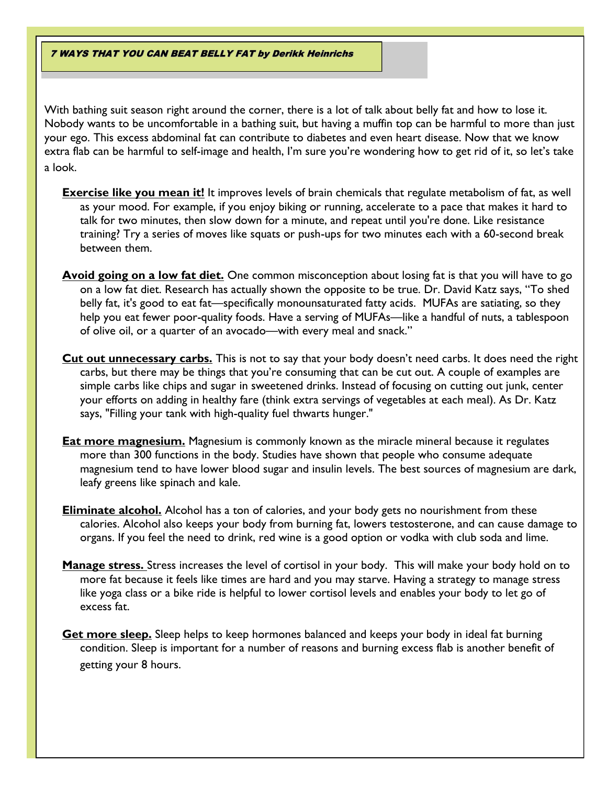7 WAYS THAT YOU CAN BEAT BELLY FAT by Derikk Heinrichs

With bathing suit season right around the corner, there is a lot of talk about belly fat and how to lose it. Nobody wants to be uncomfortable in a bathing suit, but having a muffin top can be harmful to more than just your ego. This excess abdominal fat can contribute to diabetes and even heart disease. Now that we know extra flab can be harmful to self-image and health, I'm sure you're wondering how to get rid of it, so let's take a look.

- **Exercise like you mean it!** It improves levels of brain chemicals that regulate metabolism of fat, as well as your mood. For example, if you enjoy biking or running, accelerate to a pace that makes it hard to talk for two minutes, then slow down for a minute, and repeat until you're done. Like resistance training? Try a series of moves like squats or push-ups for two minutes each with a 60-second break between them.
- **Avoid going on a low fat diet.** One common misconception about losing fat is that you will have to go on a low fat diet. Research has actually shown the opposite to be true. Dr. David Katz says, "To shed belly fat, it's good to eat fat—specifically monounsaturated fatty acids. MUFAs are satiating, so they help you eat fewer poor-quality foods. Have a serving of MUFAs—like a handful of nuts, a tablespoon of olive oil, or a quarter of an avocado—with every meal and snack."
- **Cut out unnecessary carbs.** This is not to say that your body doesn't need carbs. It does need the right carbs, but there may be things that you're consuming that can be cut out. A couple of examples are simple carbs like chips and sugar in sweetened drinks. Instead of focusing on cutting out junk, center your efforts on adding in healthy fare (think extra servings of vegetables at each meal). As Dr. Katz says, "Filling your tank with high-quality fuel thwarts hunger."
- **Eat more magnesium.** Magnesium is commonly known as the miracle mineral because it regulates more than 300 functions in the body. Studies have shown that people who consume adequate magnesium tend to have lower blood sugar and insulin levels. The best sources of magnesium are dark, leafy greens like spinach and kale.
- **Eliminate alcohol.** Alcohol has a ton of calories, and your body gets no nourishment from these calories. Alcohol also keeps your body from burning fat, lowers testosterone, and can cause damage to organs. If you feel the need to drink, red wine is a good option or vodka with club soda and lime.
- **Manage stress.** Stress increases the level of cortisol in your body. This will make your body hold on to more fat because it feels like times are hard and you may starve. Having a strategy to manage stress like yoga class or a bike ride is helpful to lower cortisol levels and enables your body to let go of excess fat.
- **Get more sleep.** Sleep helps to keep hormones balanced and keeps your body in ideal fat burning condition. Sleep is important for a number of reasons and burning excess flab is another benefit of getting your 8 hours.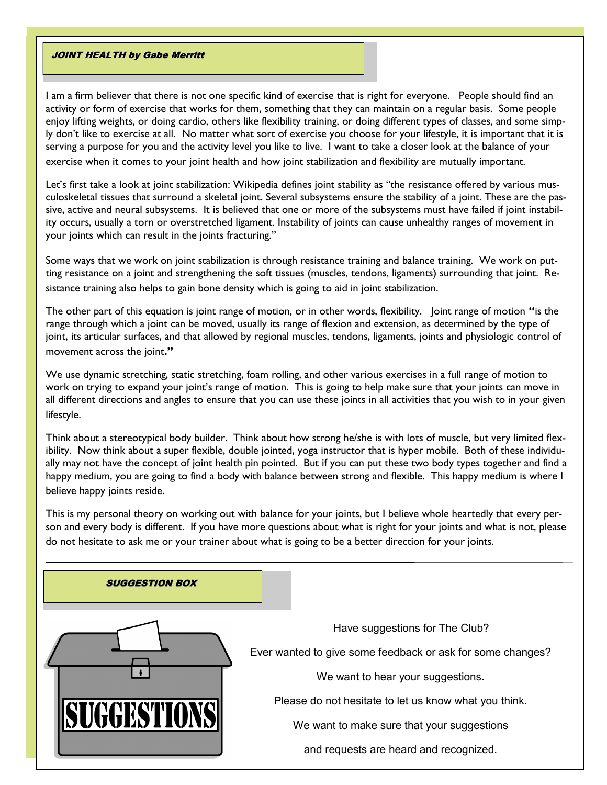### **JOINT HEALTH by Gabe Merritt**

I am a firm believer that there is not one specific kind of exercise that is right for everyone. People should find an activity or form of exercise that works for them, something that they can maintain on a regular basis. Some people enjoy lifting weights, or doing cardio, others like flexibility training, or doing different types of classes, and some simply don't like to exercise at all. No matter what sort of exercise you choose for your lifestyle, it is important that it is serving a purpose for you and the activity level you like to live. I want to take a closer look at the balance of your exercise when it comes to your joint health and how joint stabilization and flexibility are mutually important.

Let's first take a look at joint stabilization: Wikipedia defines joint stability as "the resistance offered by various [mus](https://en.wikipedia.org/wiki/Musculoskeletal_system)[culoskeletal](https://en.wikipedia.org/wiki/Musculoskeletal_system) tissues that surround a skeletal [joint.](https://en.wikipedia.org/wiki/Joint) Several subsystems ensure the stability of a joint. These are the passive, active and neural subsystems. It is believed that one or more of the subsystems must have failed if joint instability occurs, usually a torn or overstretched ligament. Instability of joints can cause unhealthy ranges of movement in your joints which can result in the joints fracturing."

Some ways that we work on joint stabilization is through resistance training and balance training. We work on putting resistance on a joint and strengthening the soft tissues (muscles, tendons, ligaments) surrounding that joint. Resistance training also helps to gain bone density which is going to aid in joint stabilization.

The other part of this equation is joint range of motion, or in other words, flexibility. Joint range of motion **"**is the range through which a joint can be moved, usually its range of flexion and extension, as determined by the type of joint, its articular surfaces, and that allowed by regional muscles, tendons, ligaments, joints and physiologic control of movement across the joint**."** 

We use dynamic stretching, static stretching, foam rolling, and other various exercises in a full range of motion to work on trying to expand your joint's range of motion. This is going to help make sure that your joints can move in all different directions and angles to ensure that you can use these joints in all activities that you wish to in your given lifestyle.

Think about a stereotypical body builder. Think about how strong he/she is with lots of muscle, but very limited flexibility. Now think about a super flexible, double jointed, yoga instructor that is hyper mobile. Both of these individually may not have the concept of joint health pin pointed. But if you can put these two body types together and find a happy medium, you are going to find a body with balance between strong and flexible. This happy medium is where I believe happy joints reside.

This is my personal theory on working out with balance for your joints, but I believe whole heartedly that every person and every body is different. If you have more questions about what is right for your joints and what is not, please do not hesitate to ask me or your trainer about what is going to be a better direction for your joints.

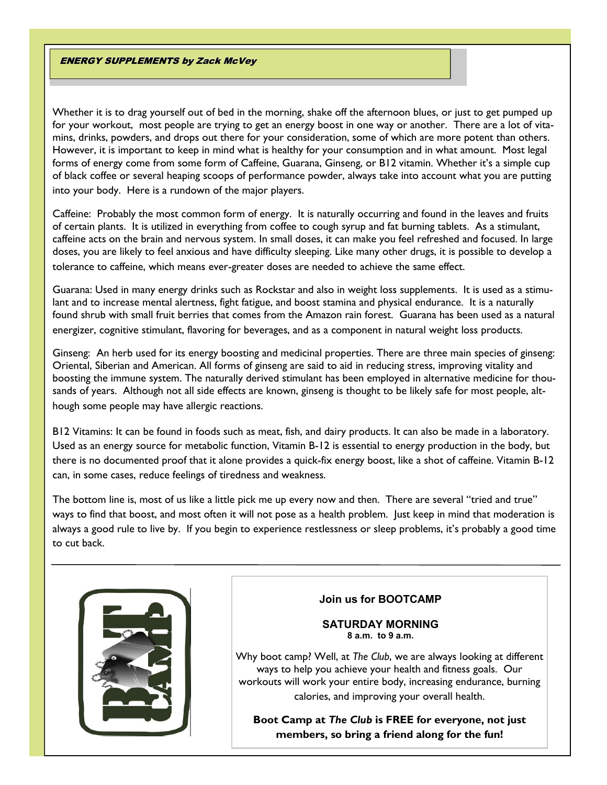## **ENERGY SUPPLEMENTS by Zack McVey**

Whether it is to drag yourself out of bed in the morning, shake off the afternoon blues, or just to get pumped up for your workout, most people are trying to get an energy boost in one way or another. There are a lot of vitamins, drinks, powders, and drops out there for your consideration, some of which are more potent than others. However, it is important to keep in mind what is healthy for your consumption and in what amount. Most legal forms of energy come from some form of Caffeine, Guarana, Ginseng, or B12 vitamin. Whether it's a simple cup of black coffee or several heaping scoops of performance powder, always take into account what you are putting into your body. Here is a rundown of the major players.

Caffeine: Probably the most common form of energy. It is naturally occurring and found in the leaves and fruits of certain plants. It is utilized in everything from coffee to cough syrup and fat burning tablets. As a stimulant, caffeine acts on the brain and nervous system. In small doses, it can make you feel refreshed and focused. In large doses, you are likely to feel anxious and have difficulty sleeping. Like many other drugs, it is possible to develop a tolerance to caffeine, which means ever-greater doses are needed to achieve the same effect.

Guarana: Used in many energy drinks such as Rockstar and also in weight loss supplements. It is used as a stimulant and to increase mental alertness, fight fatigue, and boost stamina and physical endurance. It is a naturally found shrub with small fruit berries that comes from the Amazon rain forest. Guarana has been used as a natural energizer, cognitive stimulant, flavoring for beverages, and as a component in natural weight loss products.

Ginseng: An herb used for its energy boosting and medicinal properties. There are three main species of ginseng: Oriental, Siberian and American. All forms of ginseng are said to aid in reducing stress, improving vitality and boosting the immune system. The naturally derived stimulant has been employed in alternative medicine for thousands of years. Although not all side effects are known, ginseng is thought to be likely safe for most people, although some people may have allergic reactions.

B12 Vitamins: It can be found in foods such as meat, fish, and dairy products. It can also be made in a laboratory. Used as an energy source for metabolic function, Vitamin B-12 is essential to energy production in the body, but there is no documented proof that it alone provides a quick-fix energy boost, like a shot of caffeine. Vitamin B-12 can, in some cases, reduce feelings of tiredness and weakness.

The bottom line is, most of us like a little pick me up every now and then. There are several "tried and true" ways to find that boost, and most often it will not pose as a health problem. Just keep in mind that moderation is always a good rule to live by. If you begin to experience restlessness or sleep problems, it's probably a good time to cut back.



# **Join us for BOOTCAMP**

**SATURDAY MORNING 8 a.m. to 9 a.m.**

Why boot camp? Well, at *The Club*, we are always looking at different ways to help you achieve your health and fitness goals. Our workouts will work your entire body, increasing endurance, burning calories, and improving your overall health.

**Boot Camp at** *The Club* **is FREE for everyone, not just members, so bring a friend along for the fun!**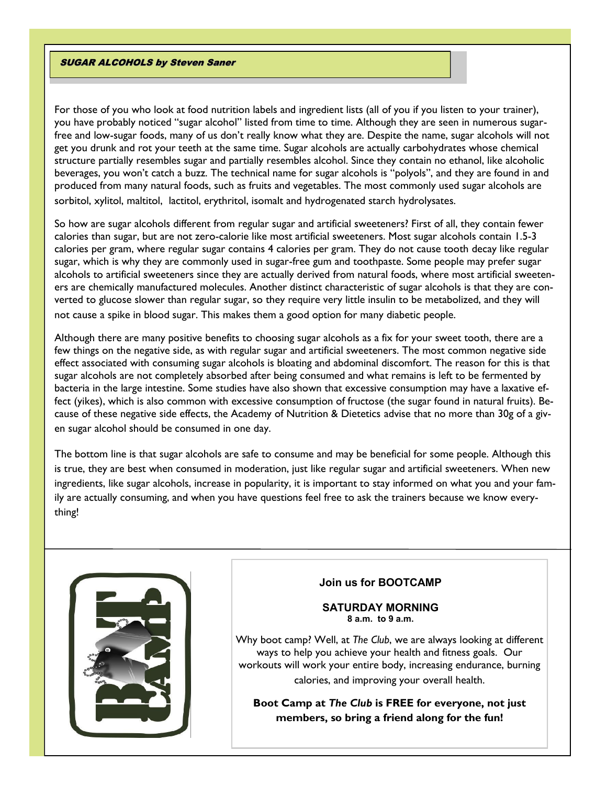#### SUGAR ALCOHOLS by Steven Saner

For those of you who look at food nutrition labels and ingredient lists (all of you if you listen to your trainer), you have probably noticed "sugar alcohol" listed from time to time. Although they are seen in numerous sugarfree and low-sugar foods, many of us don't really know what they are. Despite the name, sugar alcohols will not get you drunk and rot your teeth at the same time. Sugar alcohols are actually carbohydrates whose chemical structure partially resembles sugar and partially resembles alcohol. Since they contain no ethanol, like alcoholic beverages, you won't catch a buzz. The technical name for sugar alcohols is "polyols", and they are found in and produced from many natural foods, such as fruits and vegetables. The most commonly used sugar alcohols are sorbitol, xylitol, maltitol, lactitol, erythritol, isomalt and hydrogenated starch hydrolysates.

So how are sugar alcohols different from regular sugar and artificial sweeteners? First of all, they contain fewer calories than sugar, but are not zero-calorie like most artificial sweeteners. Most sugar alcohols contain 1.5-3 calories per gram, where regular sugar contains 4 calories per gram. They do not cause tooth decay like regular sugar, which is why they are commonly used in sugar-free gum and toothpaste. Some people may prefer sugar alcohols to artificial sweeteners since they are actually derived from natural foods, where most artificial sweeteners are chemically manufactured molecules. Another distinct characteristic of sugar alcohols is that they are converted to glucose slower than regular sugar, so they require very little insulin to be metabolized, and they will not cause a spike in blood sugar. This makes them a good option for many diabetic people.

Although there are many positive benefits to choosing sugar alcohols as a fix for your sweet tooth, there are a few things on the negative side, as with regular sugar and artificial sweeteners. The most common negative side effect associated with consuming sugar alcohols is bloating and abdominal discomfort. The reason for this is that sugar alcohols are not completely absorbed after being consumed and what remains is left to be fermented by bacteria in the large intestine. Some studies have also shown that excessive consumption may have a laxative effect (yikes), which is also common with excessive consumption of fructose (the sugar found in natural fruits). Because of these negative side effects, the Academy of Nutrition & Dietetics advise that no more than 30g of a given sugar alcohol should be consumed in one day.

The bottom line is that sugar alcohols are safe to consume and may be beneficial for some people. Although this is true, they are best when consumed in moderation, just like regular sugar and artificial sweeteners. When new ingredients, like sugar alcohols, increase in popularity, it is important to stay informed on what you and your family are actually consuming, and when you have questions feel free to ask the trainers because we know everything!



# **Join us for BOOTCAMP**

### **SATURDAY MORNING 8 a.m. to 9 a.m.**

Why boot camp? Well, at *The Club*, we are always looking at different ways to help you achieve your health and fitness goals. Our workouts will work your entire body, increasing endurance, burning calories, and improving your overall health.

**Boot Camp at** *The Club* **is FREE for everyone, not just members, so bring a friend along for the fun!**